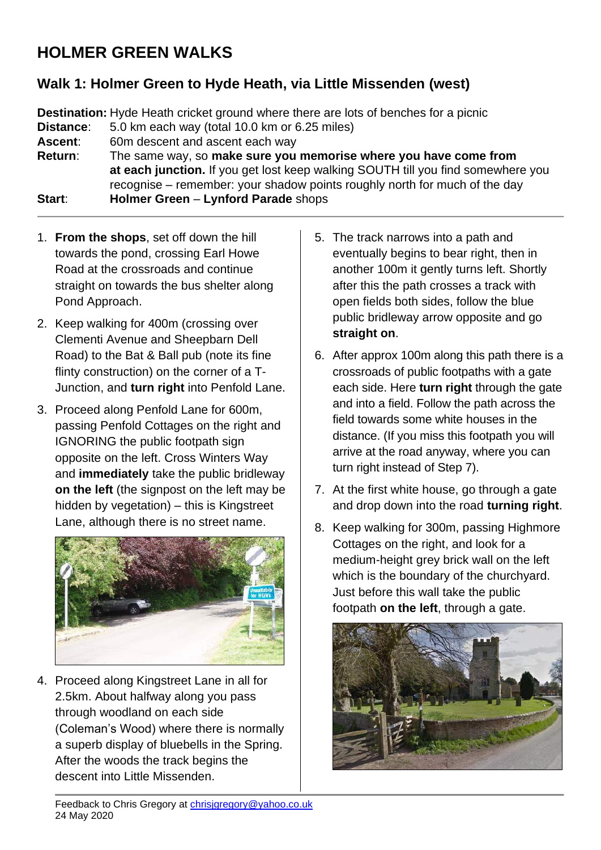## **HOLMER GREEN WALKS**

## **Walk 1: Holmer Green to Hyde Heath, via Little Missenden (west)**

**Destination:** Hyde Heath cricket ground where there are lots of benches for a picnic **Distance**: 5.0 km each way (total 10.0 km or 6.25 miles) **Ascent**: 60m descent and ascent each way **Return**: The same way, so **make sure you memorise where you have come from at each junction.** If you get lost keep walking SOUTH till you find somewhere you recognise – remember: your shadow points roughly north for much of the day **Start**: **Holmer Green** – **Lynford Parade** shops

- 1. **From the shops**, set off down the hill towards the pond, crossing Earl Howe Road at the crossroads and continue straight on towards the bus shelter along Pond Approach.
- 2. Keep walking for 400m (crossing over Clementi Avenue and Sheepbarn Dell Road) to the Bat & Ball pub (note its fine flinty construction) on the corner of a T-Junction, and **turn right** into Penfold Lane.
- 3. Proceed along Penfold Lane for 600m, passing Penfold Cottages on the right and IGNORING the public footpath sign opposite on the left. Cross Winters Way and **immediately** take the public bridleway **on the left** (the signpost on the left may be hidden by vegetation) – this is Kingstreet Lane, although there is no street name.



4. Proceed along Kingstreet Lane in all for 2.5km. About halfway along you pass through woodland on each side (Coleman's Wood) where there is normally a superb display of bluebells in the Spring. After the woods the track begins the descent into Little Missenden.

- 5. The track narrows into a path and eventually begins to bear right, then in another 100m it gently turns left. Shortly after this the path crosses a track with open fields both sides, follow the blue public bridleway arrow opposite and go **straight on**.
- 6. After approx 100m along this path there is a crossroads of public footpaths with a gate each side. Here **turn right** through the gate and into a field. Follow the path across the field towards some white houses in the distance. (If you miss this footpath you will arrive at the road anyway, where you can turn right instead of Step 7).
- 7. At the first white house, go through a gate and drop down into the road **turning right**.
- 8. Keep walking for 300m, passing Highmore Cottages on the right, and look for a medium-height grey brick wall on the left which is the boundary of the churchyard. Just before this wall take the public footpath **on the left**, through a gate.